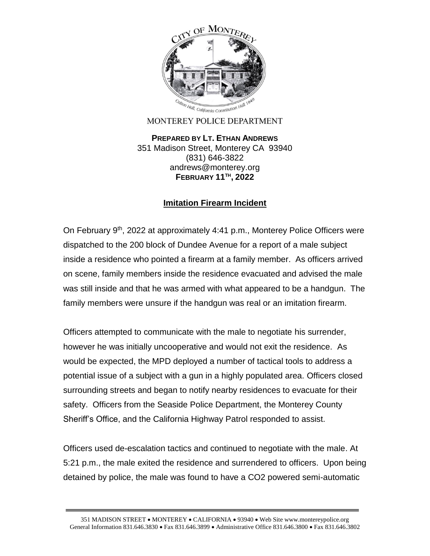

MONTEREY POLICE DEPARTMENT

**PREPARED BY LT. ETHAN ANDREWS** 351 Madison Street, Monterey CA 93940 (831) 646-3822 andrews@monterey.org **FEBRUARY 11TH , 2022**

## **Imitation Firearm Incident**

On February 9<sup>th</sup>, 2022 at approximately 4:41 p.m., Monterey Police Officers were dispatched to the 200 block of Dundee Avenue for a report of a male subject inside a residence who pointed a firearm at a family member. As officers arrived on scene, family members inside the residence evacuated and advised the male was still inside and that he was armed with what appeared to be a handgun. The family members were unsure if the handgun was real or an imitation firearm.

Officers attempted to communicate with the male to negotiate his surrender, however he was initially uncooperative and would not exit the residence. As would be expected, the MPD deployed a number of tactical tools to address a potential issue of a subject with a gun in a highly populated area. Officers closed surrounding streets and began to notify nearby residences to evacuate for their safety. Officers from the Seaside Police Department, the Monterey County Sheriff's Office, and the California Highway Patrol responded to assist.

Officers used de-escalation tactics and continued to negotiate with the male. At 5:21 p.m., the male exited the residence and surrendered to officers. Upon being detained by police, the male was found to have a CO2 powered semi-automatic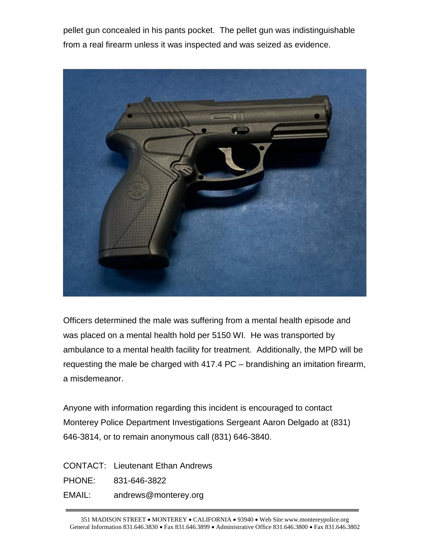pellet gun concealed in his pants pocket. The pellet gun was indistinguishable from a real firearm unless it was inspected and was seized as evidence.



Officers determined the male was suffering from a mental health episode and was placed on a mental health hold per 5150 WI. He was transported by ambulance to a mental health facility for treatment. Additionally, the MPD will be requesting the male be charged with 417.4 PC – brandishing an imitation firearm, a misdemeanor.

Anyone with information regarding this incident is encouraged to contact Monterey Police Department Investigations Sergeant Aaron Delgado at (831) 646-3814, or to remain anonymous call (831) 646-3840.

CONTACT: Lieutenant Ethan Andrews

PHONE: 831-646-3822

EMAIL: andrews@monterey.org